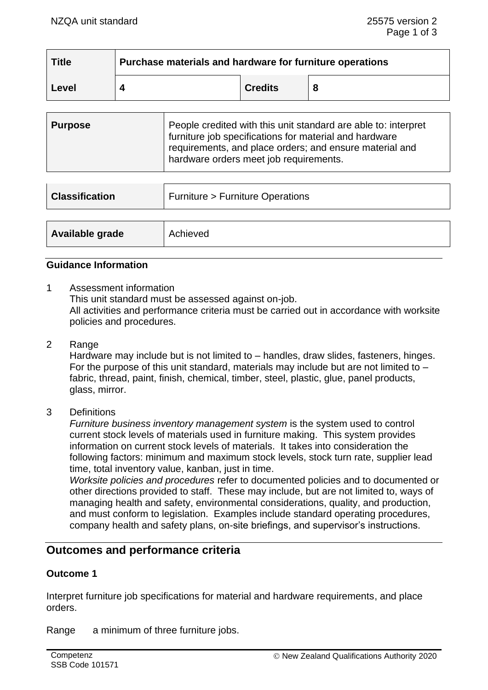| <b>Title</b> | Purchase materials and hardware for furniture operations |                |  |
|--------------|----------------------------------------------------------|----------------|--|
| <b>Level</b> |                                                          | <b>Credits</b> |  |

| <b>Purpose</b> | People credited with this unit standard are able to: interpret<br>furniture job specifications for material and hardware<br>requirements, and place orders; and ensure material and |
|----------------|-------------------------------------------------------------------------------------------------------------------------------------------------------------------------------------|
|                | hardware orders meet job requirements.                                                                                                                                              |

| <b>Classification</b> | <b>Furniture &gt; Furniture Operations</b> |  |
|-----------------------|--------------------------------------------|--|
|                       |                                            |  |
| Available grade       | Achieved                                   |  |

## **Guidance Information**

1 Assessment information

This unit standard must be assessed against on-job.

All activities and performance criteria must be carried out in accordance with worksite policies and procedures.

2 Range

Hardware may include but is not limited to – handles, draw slides, fasteners, hinges. For the purpose of this unit standard, materials may include but are not limited to  $$ fabric, thread, paint, finish, chemical, timber, steel, plastic, glue, panel products, glass, mirror.

3 Definitions

*Furniture business inventory management system* is the system used to control current stock levels of materials used in furniture making. This system provides information on current stock levels of materials. It takes into consideration the following factors: minimum and maximum stock levels, stock turn rate, supplier lead time, total inventory value, kanban, just in time.

*Worksite policies and procedures* refer to documented policies and to documented or other directions provided to staff. These may include, but are not limited to, ways of managing health and safety, environmental considerations, quality, and production, and must conform to legislation. Examples include standard operating procedures, company health and safety plans, on-site briefings, and supervisor's instructions.

# **Outcomes and performance criteria**

### **Outcome 1**

Interpret furniture job specifications for material and hardware requirements, and place orders.

Range a minimum of three furniture jobs.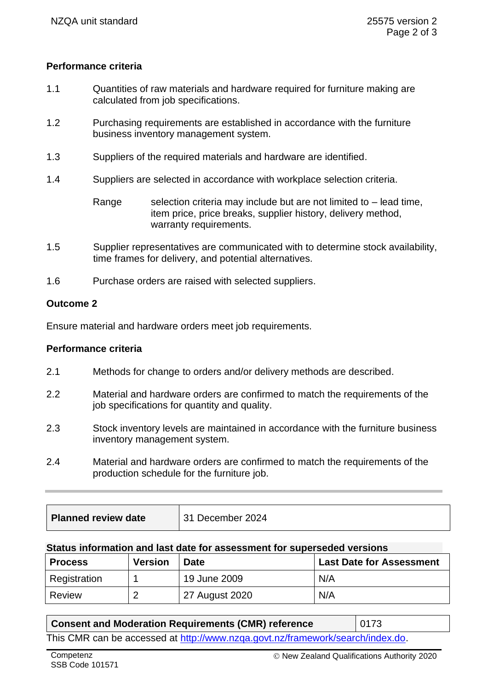# **Performance criteria**

- 1.1 Quantities of raw materials and hardware required for furniture making are calculated from job specifications.
- 1.2 Purchasing requirements are established in accordance with the furniture business inventory management system.
- 1.3 Suppliers of the required materials and hardware are identified.
- 1.4 Suppliers are selected in accordance with workplace selection criteria.

Range selection criteria may include but are not limited to  $-$  lead time, item price, price breaks, supplier history, delivery method, warranty requirements.

- 1.5 Supplier representatives are communicated with to determine stock availability, time frames for delivery, and potential alternatives.
- 1.6 Purchase orders are raised with selected suppliers.

# **Outcome 2**

Ensure material and hardware orders meet job requirements.

### **Performance criteria**

- 2.1 Methods for change to orders and/or delivery methods are described.
- 2.2 Material and hardware orders are confirmed to match the requirements of the job specifications for quantity and quality.
- 2.3 Stock inventory levels are maintained in accordance with the furniture business inventory management system.
- 2.4 Material and hardware orders are confirmed to match the requirements of the production schedule for the furniture job.

| <b>Planned review date</b> | 31 December 2024 |
|----------------------------|------------------|
|----------------------------|------------------|

### **Status information and last date for assessment for superseded versions**

| <b>Process</b> | <b>Version</b> | <b>Date</b>    | <b>Last Date for Assessment</b> |
|----------------|----------------|----------------|---------------------------------|
| Registration   |                | 19 June 2009   | N/A                             |
| Review         |                | 27 August 2020 | N/A                             |

| <b>Consent and Moderation Requirements (CMR) reference</b>                     | $\parallel$ 0173 |  |  |  |
|--------------------------------------------------------------------------------|------------------|--|--|--|
| This CMR can be accessed at http://www.nzga.govt.nz/framework/search/index.do. |                  |  |  |  |